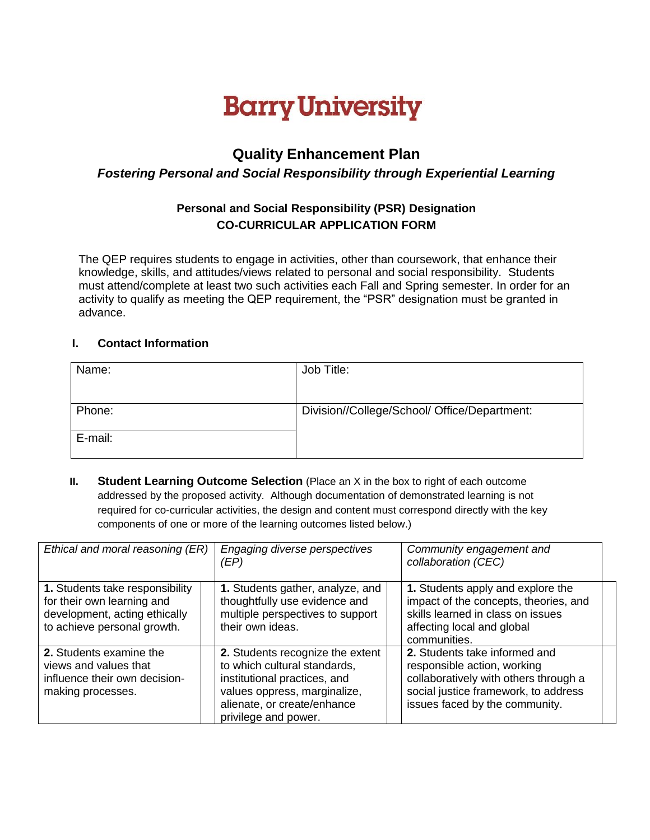# **Barry University**

## **Quality Enhancement Plan**

#### *Fostering Personal and Social Responsibility through Experiential Learning*

### **Personal and Social Responsibility (PSR) Designation CO-CURRICULAR APPLICATION FORM**

The QEP requires students to engage in activities, other than coursework, that enhance their knowledge, skills, and attitudes/views related to personal and social responsibility. Students must attend/complete at least two such activities each Fall and Spring semester. In order for an activity to qualify as meeting the QEP requirement, the "PSR" designation must be granted in advance.

#### **I. Contact Information**

| Name:   | Job Title:                                   |  |
|---------|----------------------------------------------|--|
|         |                                              |  |
| Phone:  | Division//College/School/ Office/Department: |  |
| E-mail: |                                              |  |

**II. Student Learning Outcome Selection** (Place an X in the box to right of each outcome addressed by the proposed activity. Although documentation of demonstrated learning is not required for co-curricular activities, the design and content must correspond directly with the key components of one or more of the learning outcomes listed below.)

| Ethical and moral reasoning (ER)                                                                                              | Engaging diverse perspectives<br>(EP)                                                                                                                                                   | Community engagement and<br>collaboration (CEC)                                                                                                                                 |  |
|-------------------------------------------------------------------------------------------------------------------------------|-----------------------------------------------------------------------------------------------------------------------------------------------------------------------------------------|---------------------------------------------------------------------------------------------------------------------------------------------------------------------------------|--|
| 1. Students take responsibility<br>for their own learning and<br>development, acting ethically<br>to achieve personal growth. | 1. Students gather, analyze, and<br>thoughtfully use evidence and<br>multiple perspectives to support<br>their own ideas.                                                               | 1. Students apply and explore the<br>impact of the concepts, theories, and<br>skills learned in class on issues<br>affecting local and global<br>communities.                   |  |
| 2. Students examine the<br>views and values that<br>influence their own decision-<br>making processes.                        | 2. Students recognize the extent<br>to which cultural standards,<br>institutional practices, and<br>values oppress, marginalize,<br>alienate, or create/enhance<br>privilege and power. | 2. Students take informed and<br>responsible action, working<br>collaboratively with others through a<br>social justice framework, to address<br>issues faced by the community. |  |